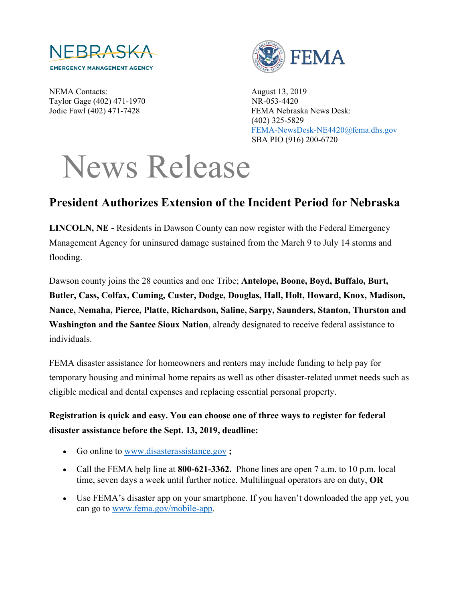

NEMA Contacts: August 13, 2019 Taylor Gage (402) 471-1970 NR-053-4420



Jodie Fawl (402) 471-7428 FEMA Nebraska News Desk: (402) 325-5829 [FEMA-NewsDesk-NE4420@fema.dhs.gov](mailto:FEMA-NewsDesk-NE4420@fema.dhs.gov) SBA PIO (916) 200-6720

## News Release

## **President Authorizes Extension of the Incident Period for Nebraska**

**LINCOLN, NE -** Residents in Dawson County can now register with the Federal Emergency Management Agency for uninsured damage sustained from the March 9 to July 14 storms and flooding.

Dawson county joins the 28 counties and one Tribe; **Antelope, Boone, Boyd, Buffalo, Burt, Butler, Cass, Colfax, Cuming, Custer, Dodge, Douglas, Hall, Holt, Howard, Knox, Madison, Nance, Nemaha, Pierce, Platte, Richardson, Saline, Sarpy, Saunders, Stanton, Thurston and Washington and the Santee Sioux Nation**, already designated to receive federal assistance to individuals.

FEMA disaster assistance for homeowners and renters may include funding to help pay for temporary housing and minimal home repairs as well as other disaster-related unmet needs such as eligible medical and dental expenses and replacing essential personal property.

## **Registration is quick and easy. You can choose one of three ways to register for federal disaster assistance before the Sept. 13, 2019, deadline:**

- Go online to [www.disasterassistance.gov](http://www.disasterassistance.gov/) **;**
- Call the FEMA help line at **800-621-3362.** Phone lines are open 7 a.m. to 10 p.m. local time, seven days a week until further notice. Multilingual operators are on duty, **OR**
- Use FEMA's disaster app on your smartphone. If you haven't downloaded the app yet, you can go to [www.fema.gov/mobile-app.](http://www.fema.gov/mobile-app)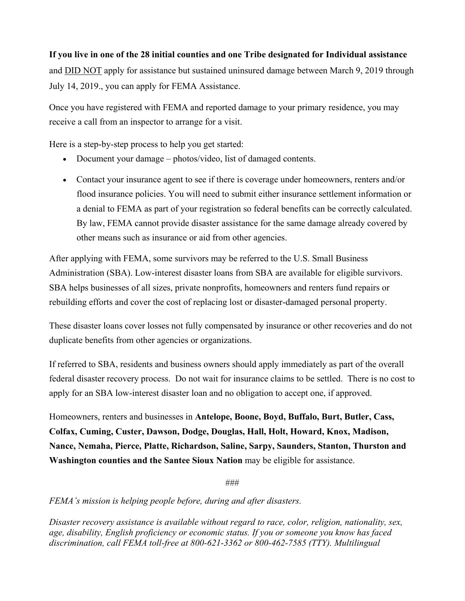## **If you live in one of the 28 initial counties and one Tribe designated for Individual assistance**

and **DID NOT** apply for assistance but sustained uninsured damage between March 9, 2019 through July 14, 2019., you can apply for FEMA Assistance.

Once you have registered with FEMA and reported damage to your primary residence, you may receive a call from an inspector to arrange for a visit.

Here is a step-by-step process to help you get started:

- Document your damage photos/video, list of damaged contents.
- Contact your insurance agent to see if there is coverage under homeowners, renters and/or flood insurance policies. You will need to submit either insurance settlement information or a denial to FEMA as part of your registration so federal benefits can be correctly calculated. By law, FEMA cannot provide disaster assistance for the same damage already covered by other means such as insurance or aid from other agencies.

After applying with FEMA, some survivors may be referred to the U.S. Small Business Administration (SBA). Low-interest disaster loans from SBA are available for eligible survivors. SBA helps businesses of all sizes, private nonprofits, homeowners and renters fund repairs or rebuilding efforts and cover the cost of replacing lost or disaster-damaged personal property.

These disaster loans cover losses not fully compensated by insurance or other recoveries and do not duplicate benefits from other agencies or organizations.

If referred to SBA, residents and business owners should apply immediately as part of the overall federal disaster recovery process. Do not wait for insurance claims to be settled. There is no cost to apply for an SBA low-interest disaster loan and no obligation to accept one, if approved.

Homeowners, renters and businesses in **Antelope, Boone, Boyd, Buffalo, Burt, Butler, Cass, Colfax, Cuming, Custer, Dawson, Dodge, Douglas, Hall, Holt, Howard, Knox, Madison, Nance, Nemaha, Pierce, Platte, Richardson, Saline, Sarpy, Saunders, Stanton, Thurston and Washington counties and the Santee Sioux Nation** may be eligible for assistance.

###

*FEMA's mission is helping people before, during and after disasters.*

*Disaster recovery assistance is available without regard to race, color, religion, nationality, sex, age, disability, English proficiency or economic status. If you or someone you know has faced discrimination, call FEMA toll-free at 800-621-3362 or 800-462-7585 (TTY). Multilingual*